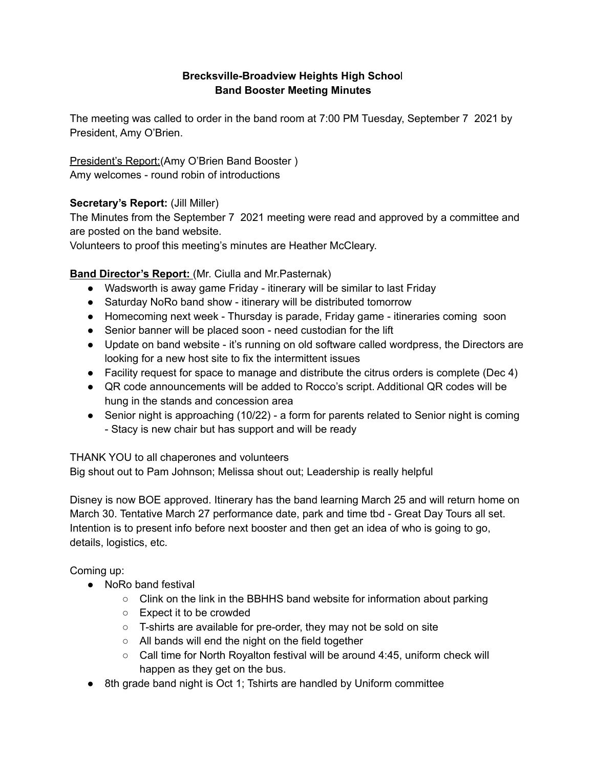### **Brecksville-Broadview Heights High Schoo**l **Band Booster Meeting Minutes**

The meeting was called to order in the band room at 7:00 PM Tuesday, September 7 2021 by President, Amy O'Brien.

President's Report:(Amy O'Brien Band Booster ) Amy welcomes - round robin of introductions

# **Secretary's Report:** (Jill Miller)

The Minutes from the September 7 2021 meeting were read and approved by a committee and are posted on the band website.

Volunteers to proof this meeting's minutes are Heather McCleary.

# **Band Director's Report:** (Mr. Ciulla and Mr.Pasternak)

- Wadsworth is away game Friday itinerary will be similar to last Friday
- Saturday NoRo band show itinerary will be distributed tomorrow
- Homecoming next week Thursday is parade, Friday game itineraries coming soon
- Senior banner will be placed soon need custodian for the lift
- Update on band website it's running on old software called wordpress, the Directors are looking for a new host site to fix the intermittent issues
- Facility request for space to manage and distribute the citrus orders is complete (Dec 4)
- QR code announcements will be added to Rocco's script. Additional QR codes will be hung in the stands and concession area
- Senior night is approaching (10/22) a form for parents related to Senior night is coming - Stacy is new chair but has support and will be ready

THANK YOU to all chaperones and volunteers

Big shout out to Pam Johnson; Melissa shout out; Leadership is really helpful

Disney is now BOE approved. Itinerary has the band learning March 25 and will return home on March 30. Tentative March 27 performance date, park and time tbd - Great Day Tours all set. Intention is to present info before next booster and then get an idea of who is going to go, details, logistics, etc.

Coming up:

- NoRo band festival
	- $\circ$  Clink on the link in the BBHHS band website for information about parking
	- Expect it to be crowded
	- T-shirts are available for pre-order, they may not be sold on site
	- All bands will end the night on the field together
	- Call time for North Royalton festival will be around 4:45, uniform check will happen as they get on the bus.
- 8th grade band night is Oct 1; Tshirts are handled by Uniform committee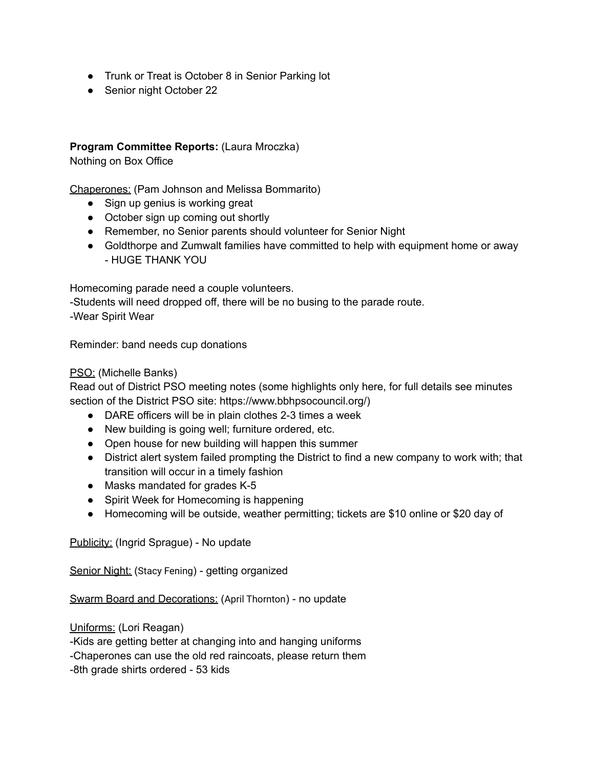- Trunk or Treat is October 8 in Senior Parking lot
- Senior night October 22

### **Program Committee Reports:** (Laura Mroczka)

Nothing on Box Office

Chaperones: (Pam Johnson and Melissa Bommarito)

- Sign up genius is working great
- October sign up coming out shortly
- Remember, no Senior parents should volunteer for Senior Night
- Goldthorpe and Zumwalt families have committed to help with equipment home or away - HUGE THANK YOU

Homecoming parade need a couple volunteers.

-Students will need dropped off, there will be no busing to the parade route. -Wear Spirit Wear

Reminder: band needs cup donations

#### PSO: (Michelle Banks)

Read out of District PSO meeting notes (some highlights only here, for full details see minutes section of the District PSO site: https://www.bbhpsocouncil.org/)

- DARE officers will be in plain clothes 2-3 times a week
- New building is going well; furniture ordered, etc.
- Open house for new building will happen this summer
- District alert system failed prompting the District to find a new company to work with; that transition will occur in a timely fashion
- Masks mandated for grades K-5
- Spirit Week for Homecoming is happening
- Homecoming will be outside, weather permitting; tickets are \$10 online or \$20 day of

Publicity: (Ingrid Sprague) - No update

Senior Night: (Stacy Fening) - getting organized

Swarm Board and Decorations: (April Thornton) - no update

Uniforms: (Lori Reagan)

-Kids are getting better at changing into and hanging uniforms

-Chaperones can use the old red raincoats, please return them

-8th grade shirts ordered - 53 kids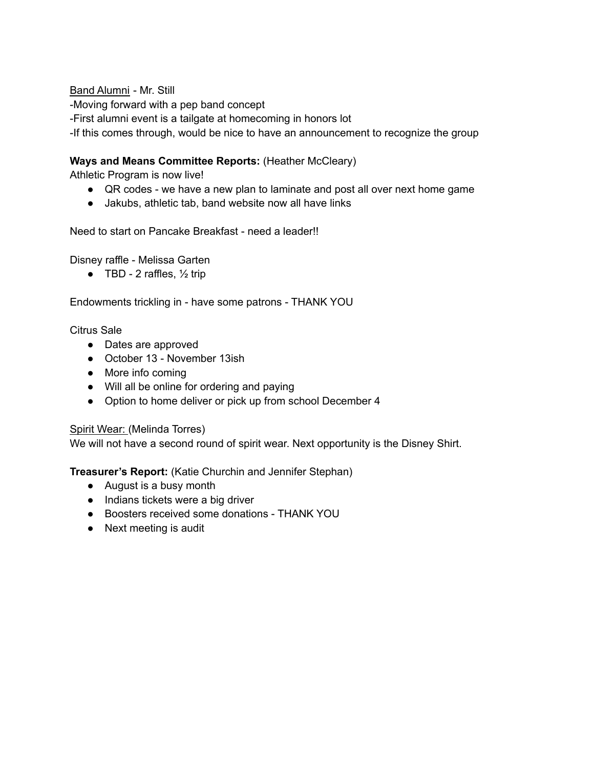#### Band Alumni - Mr. Still

-Moving forward with a pep band concept

-First alumni event is a tailgate at homecoming in honors lot

-If this comes through, would be nice to have an announcement to recognize the group

# **Ways and Means Committee Reports:** (Heather McCleary)

Athletic Program is now live!

- QR codes we have a new plan to laminate and post all over next home game
- Jakubs, athletic tab, band website now all have links

Need to start on Pancake Breakfast - need a leader!!

Disney raffle - Melissa Garten

 $\bullet$  TBD - 2 raffles,  $\frac{1}{2}$  trip

Endowments trickling in - have some patrons - THANK YOU

Citrus Sale

- Dates are approved
- October 13 November 13ish
- More info coming
- Will all be online for ordering and paying
- Option to home deliver or pick up from school December 4

### Spirit Wear: (Melinda Torres)

We will not have a second round of spirit wear. Next opportunity is the Disney Shirt.

**Treasurer's Report:** (Katie Churchin and Jennifer Stephan)

- August is a busy month
- Indians tickets were a big driver
- Boosters received some donations THANK YOU
- Next meeting is audit